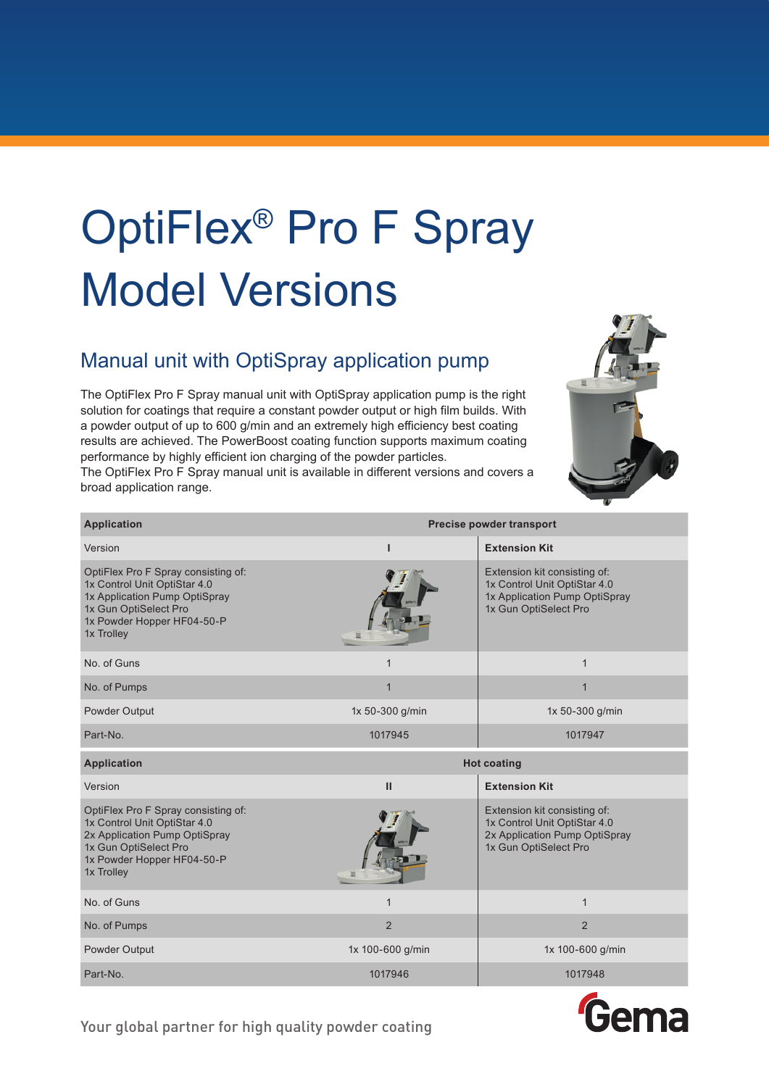## OptiFlex® Pro F Spray Model Versions

## Manual unit with OptiSpray application pump

The OptiFlex Pro F Spray manual unit with OptiSpray application pump is the right solution for coatings that require a constant powder output or high film builds. With a powder output of up to 600 g/min and an extremely high efficiency best coating results are achieved. The PowerBoost coating function supports maximum coating performance by highly efficient ion charging of the powder particles.

The OptiFlex Pro F Spray manual unit is available in different versions and covers a broad application range.



| <b>Application</b>                                                                                                                                                        | Precise powder transport |                                                                                                                        |
|---------------------------------------------------------------------------------------------------------------------------------------------------------------------------|--------------------------|------------------------------------------------------------------------------------------------------------------------|
| Version                                                                                                                                                                   | п                        | <b>Extension Kit</b>                                                                                                   |
| OptiFlex Pro F Spray consisting of:<br>1x Control Unit OptiStar 4.0<br>1x Application Pump OptiSpray<br>1x Gun OptiSelect Pro<br>1x Powder Hopper HF04-50-P<br>1x Trolley |                          | Extension kit consisting of:<br>1x Control Unit OptiStar 4.0<br>1x Application Pump OptiSpray<br>1x Gun OptiSelect Pro |
| No. of Guns                                                                                                                                                               | $\mathbf{1}$             | $\mathbf{1}$                                                                                                           |
| No. of Pumps                                                                                                                                                              | $\mathbf{1}$             | $\mathbf 1$                                                                                                            |
| Powder Output                                                                                                                                                             | 1x 50-300 g/min          | 1x 50-300 g/min                                                                                                        |
| Part-No.                                                                                                                                                                  | 1017945                  | 1017947                                                                                                                |
| <b>Application</b>                                                                                                                                                        |                          | <b>Hot coating</b>                                                                                                     |
|                                                                                                                                                                           |                          |                                                                                                                        |
| Version                                                                                                                                                                   | $\mathbf{H}$             | <b>Extension Kit</b>                                                                                                   |
| OptiFlex Pro F Spray consisting of:<br>1x Control Unit OptiStar 4.0<br>2x Application Pump OptiSpray<br>1x Gun OptiSelect Pro<br>1x Powder Hopper HF04-50-P<br>1x Trolley |                          | Extension kit consisting of:<br>1x Control Unit OptiStar 4.0<br>2x Application Pump OptiSpray<br>1x Gun OptiSelect Pro |
| No. of Guns                                                                                                                                                               | 1                        | $\mathbf{1}$                                                                                                           |
| No. of Pumps                                                                                                                                                              | $\overline{2}$           | $\overline{2}$                                                                                                         |
| Powder Output                                                                                                                                                             | 1x 100-600 g/min         | 1x 100-600 g/min                                                                                                       |
| Part-No.                                                                                                                                                                  | 1017946                  | 1017948                                                                                                                |



Your global partner for high quality powder coating